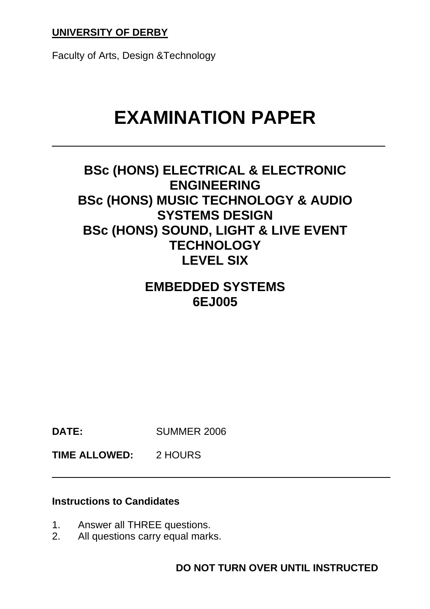## **UNIVERSITY OF DERBY**

Faculty of Arts, Design &Technology

# **EXAMINATION PAPER**

# **BSc (HONS) ELECTRICAL & ELECTRONIC ENGINEERING BSc (HONS) MUSIC TECHNOLOGY & AUDIO SYSTEMS DESIGN BSc (HONS) SOUND, LIGHT & LIVE EVENT TECHNOLOGY LEVEL SIX**

# **EMBEDDED SYSTEMS 6EJ005**

**DATE:** SUMMER 2006

**TIME ALLOWED:** 2 HOURS

#### **Instructions to Candidates**

- 1. Answer all THREE questions.
- 2. All questions carry equal marks.

**DO NOT TURN OVER UNTIL INSTRUCTED**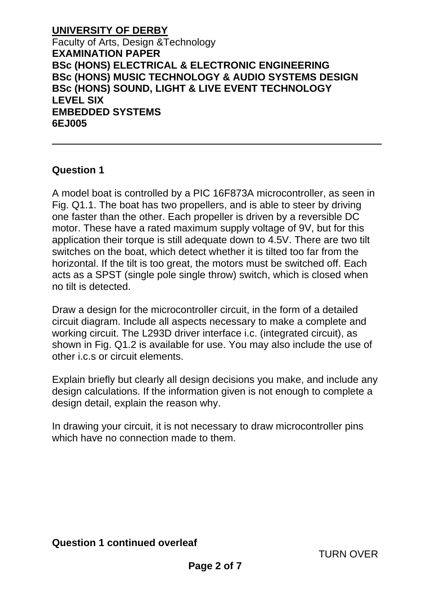#### **Question 1**

A model boat is controlled by a PIC 16F873A microcontroller, as seen in Fig. Q1.1. The boat has two propellers, and is able to steer by driving one faster than the other. Each propeller is driven by a reversible DC motor. These have a rated maximum supply voltage of 9V, but for this application their torque is still adequate down to 4.5V. There are two tilt switches on the boat, which detect whether it is tilted too far from the horizontal. If the tilt is too great, the motors must be switched off. Each acts as a SPST (single pole single throw) switch, which is closed when no tilt is detected.

Draw a design for the microcontroller circuit, in the form of a detailed circuit diagram. Include all aspects necessary to make a complete and working circuit. The L293D driver interface i.c. (integrated circuit), as shown in Fig. Q1.2 is available for use. You may also include the use of other i.c.s or circuit elements.

Explain briefly but clearly all design decisions you make, and include any design calculations. If the information given is not enough to complete a design detail, explain the reason why.

In drawing your circuit, it is not necessary to draw microcontroller pins which have no connection made to them.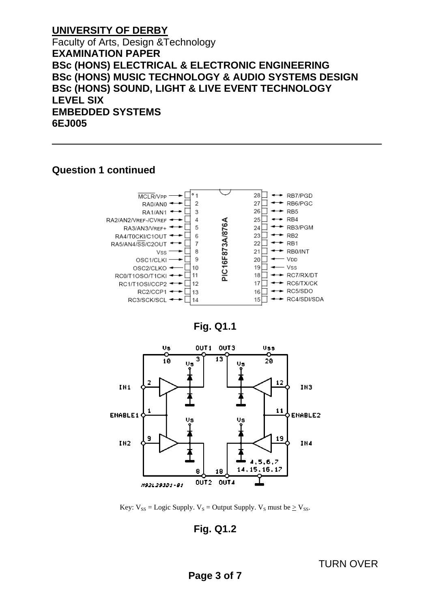#### **Question 1 continued**







Key:  $V_{SS} =$  Logic Supply.  $V_S =$  Output Supply.  $V_S$  must be  $\geq$   $V_{SS}$ .

## **Fig. Q1.2**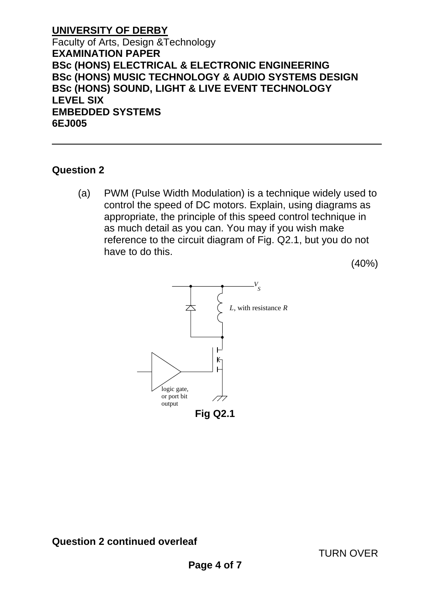#### **Question 2**

(a) PWM (Pulse Width Modulation) is a technique widely used to control the speed of DC motors. Explain, using diagrams as appropriate, the principle of this speed control technique in as much detail as you can. You may if you wish make reference to the circuit diagram of Fig. Q2.1, but you do not have to do this.

(40%)

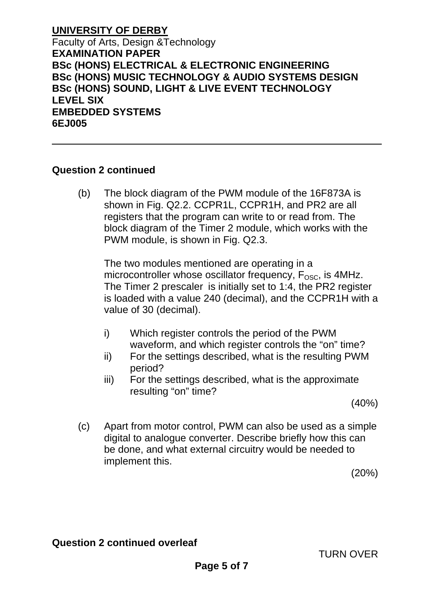#### **Question 2 continued**

 (b) The block diagram of the PWM module of the 16F873A is shown in Fig. Q2.2. CCPR1L, CCPR1H, and PR2 are all registers that the program can write to or read from. The block diagram of the Timer 2 module, which works with the PWM module, is shown in Fig. Q2.3.

 The two modules mentioned are operating in a microcontroller whose oscillator frequency.  $F<sub>OSC</sub>$  is 4MHz. The Timer 2 prescaler is initially set to 1:4, the PR2 register is loaded with a value 240 (decimal), and the CCPR1H with a value of 30 (decimal).

- i) Which register controls the period of the PWM waveform, and which register controls the "on" time?
- ii) For the settings described, what is the resulting PWM period?
- iii) For the settings described, what is the approximate resulting "on" time?

(40%)

 (c) Apart from motor control, PWM can also be used as a simple digital to analogue converter. Describe briefly how this can be done, and what external circuitry would be needed to implement this.

(20%)

## **Question 2 continued overleaf**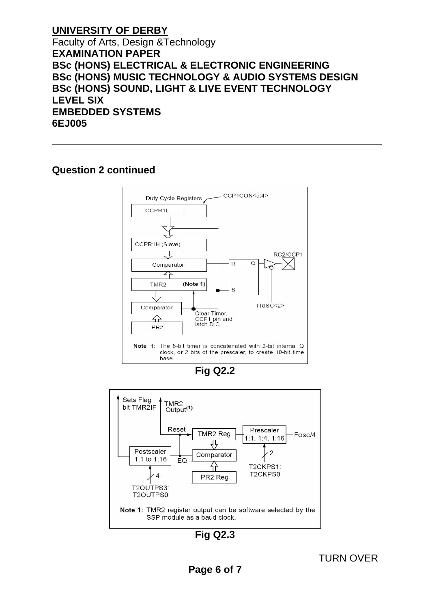## **Question 2 continued**







**Fig Q2.3**